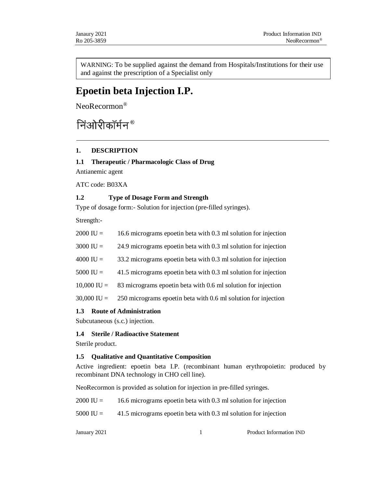WARNING: To be supplied against the demand from Hospitals/Institutions for their use and against the prescription of a Specialist only

# **Epoetin beta Injection I.P.**

NeoRecormon®

# निओरीकॉर्मन<sup>®</sup>

# **1. DESCRIPTION**

## **1.1 Therapeutic / Pharmacologic Class of Drug**

Antianemic agent

ATC code: B03XA

## **1.2 Type of Dosage Form and Strength**

Type of dosage form:- Solution for injection (pre-filled syringes).

Strength:-

| $2000 \text{ IU} =$ | 16.6 micrograms epoetin beta with 0.3 ml solution for injection |
|---------------------|-----------------------------------------------------------------|
| $3000 \text{ IU} =$ | 24.9 micrograms epoetin beta with 0.3 ml solution for injection |
| $4000 \text{ IU} =$ | 33.2 micrograms epoetin beta with 0.3 ml solution for injection |

5000 IU = 41.5 micrograms epoetin beta with 0.3 ml solution for injection

10,000 IU = 83 micrograms epoetin beta with 0.6 ml solution for injection

30,000 IU = 250 micrograms epoetin beta with 0.6 ml solution for injection

## **1.3 Route of Administration**

Subcutaneous (s.c.) injection.

## **1.4 Sterile / Radioactive Statement**

Sterile product.

## **1.5 Qualitative and Quantitative Composition**

Active ingredient: epoetin beta I.P. (recombinant human erythropoietin: produced by recombinant DNA technology in CHO cell line).

NeoRecormon is provided as solution for injection in pre-filled syringes.

 $2000 \text{ IU} = 16.6 \text{ micrograms}$  epoetin beta with 0.3 ml solution for injection

5000 IU = 41.5 micrograms epoetin beta with 0.3 ml solution for injection

January 2021 1 Product Information IND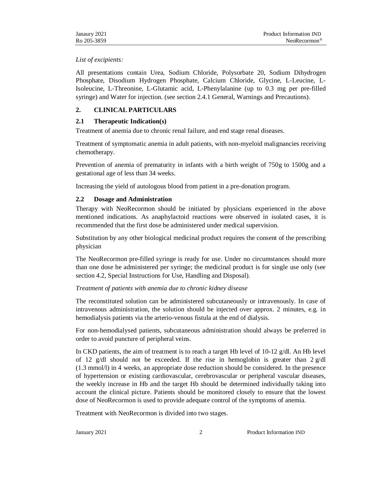#### *List of excipients:*

All presentations contain Urea, Sodium Chloride, Polysorbate 20, Sodium Dihydrogen Phosphate, Disodium Hydrogen Phosphate, Calcium Chloride, Glycine, L-Leucine, L-Isoleucine, L-Threonine, L-Glutamic acid, L-Phenylalanine (up to 0.3 mg per pre-filled syringe) and Water for injection. (see section 2.4.1 General, Warnings and Precautions).

# **2. CLINICAL PARTICULARS**

## **2.1 Therapeutic Indication(s)**

Treatment of anemia due to chronic renal failure, and end stage renal diseases.

Treatment of symptomatic anemia in adult patients, with non-myeloid malignancies receiving chemotherapy.

Prevention of anemia of prematurity in infants with a birth weight of 750g to 1500g and a gestational age of less than 34 weeks.

Increasing the yield of autologous blood from patient in a pre-donation program.

## **2.2 Dosage and Administration**

Therapy with NeoRecormon should be initiated by physicians experienced in the above mentioned indications. As anaphylactoid reactions were observed in isolated cases, it is recommended that the first dose be administered under medical supervision.

Substitution by any other biological medicinal product requires the consent of the prescribing physician

The NeoRecormon pre-filled syringe is ready for use. Under no circumstances should more than one dose be administered per syringe; the medicinal product is for single use only (see section 4.2, Special Instructions for Use, Handling and Disposal).

## *Treatment of patients with anemia due to chronic kidney disease*

The reconstituted solution can be administered subcutaneously or intravenously. In case of intravenous administration, the solution should be injected over approx. 2 minutes, e.g. in hemodialysis patients via the arterio-venous fistula at the end of dialysis.

For non-hemodialysed patients, subcutaneous administration should always be preferred in order to avoid puncture of peripheral veins.

In CKD patients, the aim of treatment is to reach a target Hb level of 10-12 g/dl. An Hb level of 12 g/dl should not be exceeded. If the rise in hemoglobin is greater than  $2 \text{ g}/\text{dl}$ (1.3 mmol/l) in 4 weeks, an appropriate dose reduction should be considered. In the presence of hypertension or existing cardiovascular, cerebrovascular or peripheral vascular diseases, the weekly increase in Hb and the target Hb should be determined individually taking into account the clinical picture. Patients should be monitored closely to ensure that the lowest dose of NeoRecormon is used to provide adequate control of the symptoms of anemia.

Treatment with NeoRecormon is divided into two stages.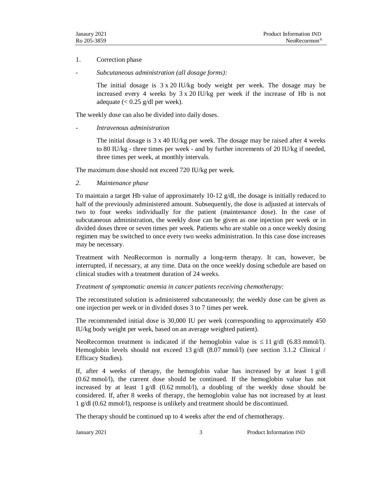#### 1. Correction phase

*- Subcutaneous administration (all dosage forms):*

The initial dosage is 3 x 20 IU/kg body weight per week. The dosage may be increased every 4 weeks by 3 x 20 IU/kg per week if the increase of Hb is not adequate  $\left($  < 0.25 g/dl per week).

The weekly dose can also be divided into daily doses.

```
- Intravenous administration
```
The initial dosage is  $3 \times 40$  IU/kg per week. The dosage may be raised after 4 weeks to 80 IU/kg - three times per week - and by further increments of 20 IU/kg if needed, three times per week, at monthly intervals.

The maximum dose should not exceed 720 IU/kg per week.

#### *2. Maintenance phase*

To maintain a target Hb value of approximately 10-12 g/dl, the dosage is initially reduced to half of the previously administered amount. Subsequently, the dose is adjusted at intervals of two to four weeks individually for the patient (maintenance dose). In the case of subcutaneous administration, the weekly dose can be given as one injection per week or in divided doses three or seven times per week. Patients who are stable on a once weekly dosing regimen may be switched to once every two weeks administration. In this case dose increases may be necessary.

Treatment with NeoRecormon is normally a long-term therapy. It can, however, be interrupted, if necessary, at any time. Data on the once weekly dosing schedule are based on clinical studies with a treatment duration of 24 weeks.

#### *Treatment of symptomatic anemia in cancer patients receiving chemotherapy:*

The reconstituted solution is administered subcutaneously; the weekly dose can be given as one injection per week or in divided doses 3 to 7 times per week.

The recommended initial dose is 30,000 IU per week (corresponding to approximately 450 IU/kg body weight per week, based on an average weighted patient).

NeoRecormon treatment is indicated if the hemoglobin value is  $\leq 11$  g/dl (6.83 mmol/l). Hemoglobin levels should not exceed 13  $g/dl$  (8.07 mmol/l) (see section 3.1.2 Clinical / Efficacy Studies).

If, after 4 weeks of therapy, the hemoglobin value has increased by at least  $1 \text{ g}/dl$ (0.62 mmol/l), the current dose should be continued. If the hemoglobin value has not increased by at least  $1 \text{ g}/\text{dl}$  (0.62 mmol/l), a doubling of the weekly dose should be considered. If, after 8 weeks of therapy, the hemoglobin value has not increased by at least 1 g/dl (0.62 mmol/l), response is unlikely and treatment should be discontinued.

The therapy should be continued up to 4 weeks after the end of chemotherapy.

January 2021 3 Product Information IND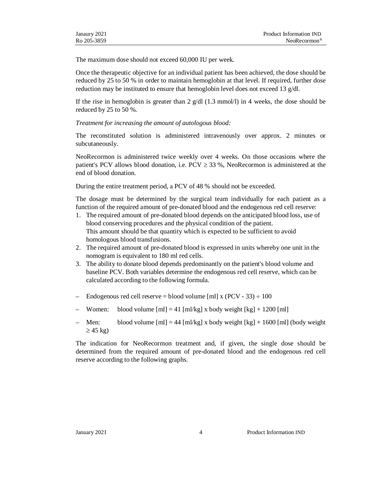The maximum dose should not exceed 60,000 IU per week.

Once the therapeutic objective for an individual patient has been achieved, the dose should be reduced by 25 to 50 % in order to maintain hemoglobin at that level. If required, further dose reduction may be instituted to ensure that hemoglobin level does not exceed 13 g/dl.

If the rise in hemoglobin is greater than  $2 \text{ g/dl}$  (1.3 mmol/l) in 4 weeks, the dose should be reduced by 25 to 50 %.

*Treatment for increasing the amount of autologous blood:*

The reconstituted solution is administered intravenously over approx. 2 minutes or subcutaneously.

NeoRecormon is administered twice weekly over 4 weeks. On those occasions where the patient's PCV allows blood donation, i.e.  $PCV \geq 33$ %, NeoRecormon is administered at the end of blood donation.

During the entire treatment period, a PCV of 48 % should not be exceeded.

The dosage must be determined by the surgical team individually for each patient as a function of the required amount of pre-donated blood and the endogenous red cell reserve:

- 1. The required amount of pre-donated blood depends on the anticipated blood loss, use of blood conserving procedures and the physical condition of the patient. This amount should be that quantity which is expected to be sufficient to avoid homologous blood transfusions.
- 2. The required amount of pre-donated blood is expressed in units whereby one unit in the nomogram is equivalent to 180 ml red cells.
- 3. The ability to donate blood depends predominantly on the patient's blood volume and baseline PCV. Both variables determine the endogenous red cell reserve, which can be calculated according to the following formula.
- Endogenous red cell reserve = blood volume [ml] x (PCV 33)  $\div$  100
- Women: blood volume  $[m] = 41$   $[m]/kg] \times$  body weight  $[kg] + 1200$   $[m]$
- Men: blood volume  $[m] = 44$  [ml/kg] x body weight [kg] + 1600 [ml] (body weight  $\geq$  45 kg)

The indication for NeoRecormon treatment and, if given, the single dose should be determined from the required amount of pre-donated blood and the endogenous red cell reserve according to the following graphs.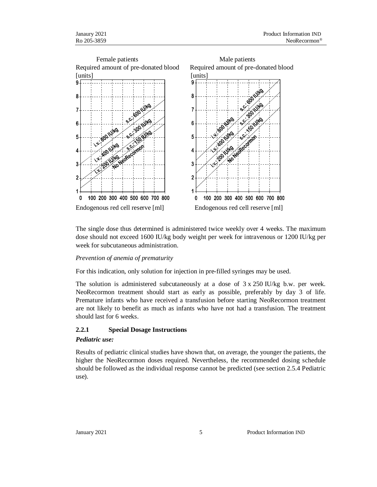

The single dose thus determined is administered twice weekly over 4 weeks. The maximum dose should not exceed 1600 IU/kg body weight per week for intravenous or 1200 IU/kg per week for subcutaneous administration.

#### *Prevention of anemia of prematurity*

For this indication, only solution for injection in pre-filled syringes may be used.

The solution is administered subcutaneously at a dose of 3 x 250 IU/kg b.w. per week. NeoRecormon treatment should start as early as possible, preferably by day 3 of life. Premature infants who have received a transfusion before starting NeoRecormon treatment are not likely to benefit as much as infants who have not had a transfusion. The treatment should last for 6 weeks.

#### **2.2.1 Special Dosage Instructions**

#### *Pediatric use:*

Results of pediatric clinical studies have shown that, on average, the younger the patients, the higher the NeoRecormon doses required. Nevertheless, the recommended dosing schedule should be followed as the individual response cannot be predicted (see section 2.5.4 Pediatric use).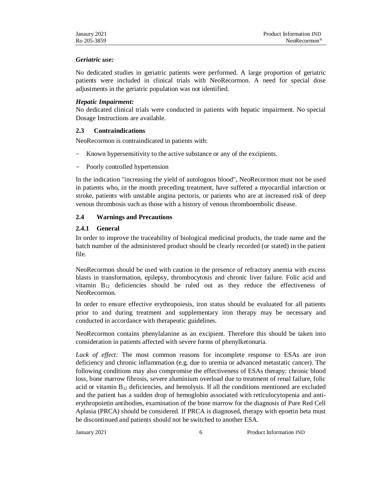#### *Geriatric use:*

No dedicated studies in geriatric patients were performed. A large proportion of geriatric patients were included in clinical trials with NeoRecormon. A need for special dose adjustments in the geriatric population was not identified.

#### *Hepatic Impairment:*

No dedicated clinical trials were conducted in patients with hepatic impairment. No special Dosage Instructions are available.

#### **2.3 Contraindications**

NeoRecormon is contraindicated in patients with:

- Known hypersensitivity to the active substance or any of the excipients.
- Poorly controlled hypertension

In the indication "increasing the yield of autologous blood", NeoRecormon must not be used in patients who, in the month preceding treatment, have suffered a myocardial infarction or stroke, patients with unstable angina pectoris, or patients who are at increased risk of deep venous thrombosis such as those with a history of venous thromboembolic disease.

## **2.4 Warnings and Precautions**

#### **2.4.1 General**

In order to improve the traceability of biological medicinal products, the trade name and the batch number of the administered product should be clearly recorded (or stated) in the patient file.

NeoRecormon should be used with caution in the presence of refractory anemia with excess blasts in transformation, epilepsy, thrombocytosis and chronic liver failure. Folic acid and vitamin  $B_{12}$  deficiencies should be ruled out as they reduce the effectiveness of NeoRecormon.

In order to ensure effective erythropoiesis, iron status should be evaluated for all patients prior to and during treatment and supplementary iron therapy may be necessary and conducted in accordance with therapeutic guidelines.

NeoRecormon contains phenylalanine as an excipient. Therefore this should be taken into consideration in patients affected with severe forms of phenylketonuria.

*Lack of effect:* The most common reasons for incomplete response to ESAs are iron deficiency and chronic inflammation (e.g. due to uremia or advanced metastatic cancer). The following conditions may also compromise the effectiveness of ESAs therapy: chronic blood loss, bone marrow fibrosis, severe aluminium overload due to treatment of renal failure, folic acid or vitamin  $B_{12}$  deficiencies, and hemolysis. If all the conditions mentioned are excluded and the patient has a sudden drop of hemoglobin associated with reticulocytopenia and antierythropoietin antibodies, examination of the bone marrow for the diagnosis of Pure Red Cell Aplasia (PRCA) should be considered. If PRCA is diagnosed, therapy with epoetin beta must be discontinued and patients should not be switched to another ESA.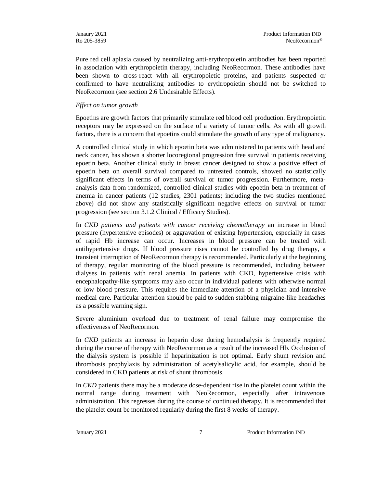Pure red cell aplasia caused by neutralizing anti-erythropoietin antibodies has been reported in association with erythropoietin therapy, including NeoRecormon. These antibodies have been shown to cross-react with all erythropoietic proteins, and patients suspected or confirmed to have neutralising antibodies to erythropoietin should not be switched to NeoRecormon (see section 2.6 Undesirable Effects).

#### *Effect on tumor growth*

Epoetins are growth factors that primarily stimulate red blood cell production. Erythropoietin receptors may be expressed on the surface of a variety of tumor cells. As with all growth factors, there is a concern that epoetins could stimulate the growth of any type of malignancy.

A controlled clinical study in which epoetin beta was administered to patients with head and neck cancer, has shown a shorter locoregional progression free survival in patients receiving epoetin beta. Another clinical study in breast cancer designed to show a positive effect of epoetin beta on overall survival compared to untreated controls, showed no statistically significant effects in terms of overall survival or tumor progression. Furthermore, metaanalysis data from randomized, controlled clinical studies with epoetin beta in treatment of anemia in cancer patients (12 studies, 2301 patients; including the two studies mentioned above) did not show any statistically significant negative effects on survival or tumor progression (see section 3.1.2 Clinical / Efficacy Studies).

In *CKD patients and patients with cancer receiving chemotherapy* an increase in blood pressure (hypertensive episodes) or aggravation of existing hypertension, especially in cases of rapid Hb increase can occur. Increases in blood pressure can be treated with antihypertensive drugs. If blood pressure rises cannot be controlled by drug therapy, a transient interruption of NeoRecormon therapy is recommended. Particularly at the beginning of therapy, regular monitoring of the blood pressure is recommended, including between dialyses in patients with renal anemia. In patients with CKD, hypertensive crisis with encephalopathy-like symptoms may also occur in individual patients with otherwise normal or low blood pressure. This requires the immediate attention of a physician and intensive medical care. Particular attention should be paid to sudden stabbing migraine-like headaches as a possible warning sign.

Severe aluminium overload due to treatment of renal failure may compromise the effectiveness of NeoRecormon.

In *CKD* patients an increase in heparin dose during hemodialysis is frequently required during the course of therapy with NeoRecormon as a result of the increased Hb. Occlusion of the dialysis system is possible if heparinization is not optimal. Early shunt revision and thrombosis prophylaxis by administration of acetylsalicylic acid, for example, should be considered in CKD patients at risk of shunt thrombosis.

In *CKD* patients there may be a moderate dose-dependent rise in the platelet count within the normal range during treatment with NeoRecormon, especially after intravenous administration. This regresses during the course of continued therapy. It is recommended that the platelet count be monitored regularly during the first 8 weeks of therapy.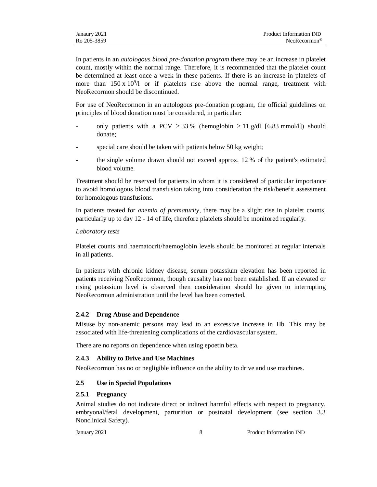In patients in an *autologous blood pre-donation program* there may be an increase in platelet count, mostly within the normal range. Therefore, it is recommended that the platelet count be determined at least once a week in these patients. If there is an increase in platelets of more than  $150 \times 10^9/1$  or if platelets rise above the normal range, treatment with NeoRecormon should be discontinued.

For use of NeoRecormon in an autologous pre-donation program, the official guidelines on principles of blood donation must be considered, in particular:

- only patients with a PCV  $\geq$  33 % (hemoglobin  $\geq$  11 g/dl [6.83 mmol/l]) should donate;
- special care should be taken with patients below 50 kg weight;
- the single volume drawn should not exceed approx. 12 % of the patient's estimated blood volume.

Treatment should be reserved for patients in whom it is considered of particular importance to avoid homologous blood transfusion taking into consideration the risk/benefit assessment for homologous transfusions.

In patients treated for *anemia of prematurity*, there may be a slight rise in platelet counts, particularly up to day 12 - 14 of life, therefore platelets should be monitored regularly.

#### *Laboratory tests*

Platelet counts and haematocrit/haemoglobin levels should be monitored at regular intervals in all patients.

In patients with chronic kidney disease, serum potassium elevation has been reported in patients receiving NeoRecormon, though causality has not been established. If an elevated or rising potassium level is observed then consideration should be given to interrupting NeoRecormon administration until the level has been corrected.

## **2.4.2 Drug Abuse and Dependence**

Misuse by non-anemic persons may lead to an excessive increase in Hb. This may be associated with life-threatening complications of the cardiovascular system.

There are no reports on dependence when using epoetin beta.

## **2.4.3 Ability to Drive and Use Machines**

NeoRecormon has no or negligible influence on the ability to drive and use machines.

## **2.5 Use in Special Populations**

## **2.5.1 Pregnancy**

Animal studies do not indicate direct or indirect harmful effects with respect to pregnancy, embryonal/fetal development, parturition or postnatal development (see section 3.3 Nonclinical Safety).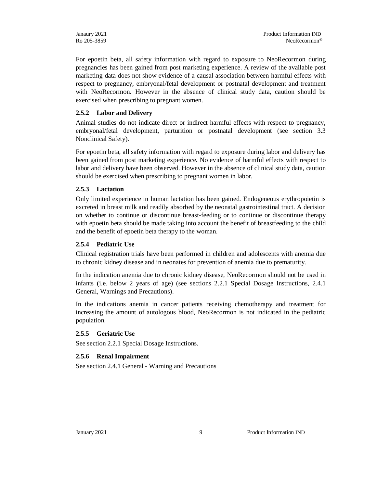| Janaury 2021 | Product Information IND   |
|--------------|---------------------------|
| Ro 205-3859  | $NeoRecormon^{\circledR}$ |

For epoetin beta, all safety information with regard to exposure to NeoRecormon during pregnancies has been gained from post marketing experience. A review of the available post marketing data does not show evidence of a causal association between harmful effects with respect to pregnancy, embryonal/fetal development or postnatal development and treatment with NeoRecormon. However in the absence of clinical study data, caution should be exercised when prescribing to pregnant women.

#### **2.5.2 Labor and Delivery**

Animal studies do not indicate direct or indirect harmful effects with respect to pregnancy, embryonal/fetal development, parturition or postnatal development (see section 3.3 Nonclinical Safety).

For epoetin beta, all safety information with regard to exposure during labor and delivery has been gained from post marketing experience. No evidence of harmful effects with respect to labor and delivery have been observed. However in the absence of clinical study data, caution should be exercised when prescribing to pregnant women in labor.

#### **2.5.3 Lactation**

Only limited experience in human lactation has been gained. Endogeneous erythropoietin is excreted in breast milk and readily absorbed by the neonatal gastrointestinal tract. A decision on whether to continue or discontinue breast-feeding or to continue or discontinue therapy with epoetin beta should be made taking into account the benefit of breastfeeding to the child and the benefit of epoetin beta therapy to the woman.

#### **2.5.4 Pediatric Use**

Clinical registration trials have been performed in children and adolescents with anemia due to chronic kidney disease and in neonates for prevention of anemia due to prematurity.

In the indication anemia due to chronic kidney disease, NeoRecormon should not be used in infants (i.e. below 2 years of age) (see sections 2.2.1 Special Dosage Instructions, 2.4.1 General, Warnings and Precautions).

In the indications anemia in cancer patients receiving chemotherapy and treatment for increasing the amount of autologous blood, NeoRecormon is not indicated in the pediatric population.

#### **2.5.5 Geriatric Use**

See section 2.2.1 Special Dosage Instructions.

## **2.5.6 Renal Impairment**

See section 2.4.1 General - Warning and Precautions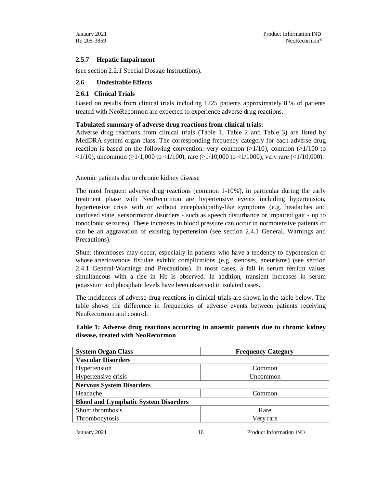## **2.5.7 Hepatic Impairment**

(see section 2.2.1 Special Dosage Instructions).

## **2.6 Undesirable Effects**

#### **2.6.1 Clinical Trials**

Based on results from clinical trials including 1725 patients approximately 8 % of patients treated with NeoRecormon are expected to experience adverse drug reactions.

#### **Tabulated summary of adverse drug reactions from clinical trials:**

Adverse drug reactions from clinical trials (Table 1, Table 2 and Table 3) are listed by MedDRA system organ class. The corresponding frequency category for each adverse drug reaction is based on the following convention: very common  $(\geq 1/10)$ , common  $(\geq 1/100)$  to  $\langle 1/10 \rangle$ , uncommon ( $\geq 1/1,000$  to  $\langle 1/100 \rangle$ , rare ( $\geq 1/10,000$  to  $\langle 1/1000 \rangle$ , very rare ( $\langle 1/10,000 \rangle$ ).

#### Anemic patients due to chronic kidney disease

The most frequent adverse drug reactions (common 1-10%), in particular during the early treatment phase with NeoRecormon are hypertensive events including hypertension, hypertensive crisis with or without encephalopathy-like symptoms (e.g. headaches and confused state, sensorimotor disorders - such as speech disturbance or impaired gait - up to tonoclonic seizures). These increases in blood pressure can occur in normotensive patients or can be an aggravation of existing hypertension (see section 2.4.1 General, Warnings and Precautions).

Shunt thromboses may occur, especially in patients who have a tendency to hypotension or whose arteriovenous fistulae exhibit complications (e.g. stenoses, aneurisms) (see section 2.4.1 General-Warnings and Precautions). In most cases, a fall in serum ferritin values simultaneous with a rise in Hb is observed. In addition, transient increases in serum potassium and phosphate levels have been observed in isolated cases.

The incidences of adverse drug reactions in clinical trials are shown in the table below. The table shows the difference in frequencies of adverse events between patients receiving NeoRecormon and control.

# **Table 1: Adverse drug reactions occurring in anaemic patients due to chronic kidney disease, treated with NeoRecormon**

| <b>System Organ Class</b>                   | <b>Frequency Category</b> |  |
|---------------------------------------------|---------------------------|--|
| <b>Vascular Disorders</b>                   |                           |  |
| Hypertension                                | Common                    |  |
| Hypertensive crisis                         | Uncommon                  |  |
| <b>Nervous System Disorders</b>             |                           |  |
| Headache<br>Common                          |                           |  |
| <b>Blood and Lymphatic System Disorders</b> |                           |  |
| Shunt thrombosis                            | Rare                      |  |
| Thrombocytosis                              | Very rare                 |  |

January 2021 10 Product Information IND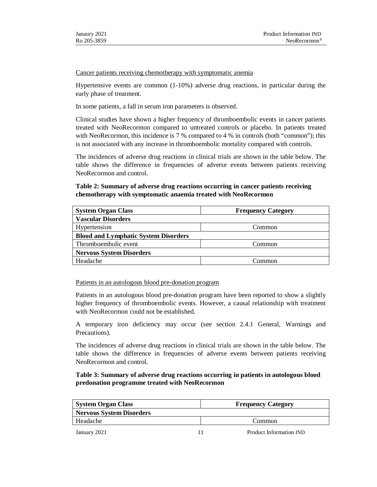Cancer patients receiving chemotherapy with symptomatic anemia

Hypertensive events are common (1-10%) adverse drug reactions, in particular during the early phase of treatment.

In some patients, a fall in serum iron parameters is observed.

Clinical studies have shown a higher frequency of thromboembolic events in cancer patients treated with NeoRecormon compared to untreated controls or placebo. In patients treated with NeoRecormon, this incidence is 7 % compared to 4 % in controls (both "common"); this is not associated with any increase in thromboembolic mortality compared with controls.

The incidences of adverse drug reactions in clinical trials are shown in the table below. The table shows the difference in frequencies of adverse events between patients receiving NeoRecormon and control.

## **Table 2: Summary of adverse drug reactions occurring in cancer patients receiving chemotherapy with symptomatic anaemia treated with NeoRecormon**

| <b>System Organ Class</b>                   | <b>Frequency Category</b> |  |
|---------------------------------------------|---------------------------|--|
| <b>Vascular Disorders</b>                   |                           |  |
| Hypertension                                | Common                    |  |
| <b>Blood and Lymphatic System Disorders</b> |                           |  |
| Thromboembolic event                        | Common                    |  |
| <b>Nervous System Disorders</b>             |                           |  |
| Headache                                    | ⊡ommon                    |  |

Patients in an autologous blood pre-donation program

Patients in an autologous blood pre-donation program have been reported to show a slightly higher frequency of thromboembolic events. However, a causal relationship with treatment with NeoRecormon could not be established.

A temporary iron deficiency may occur (see section 2.4.1 General, Warnings and Precautions).

The incidences of adverse drug reactions in clinical trials are shown in the table below. The table shows the difference in frequencies of adverse events between patients receiving NeoRecormon and control.

## **Table 3: Summary of adverse drug reactions occurring in patients in autologous blood predonation programme treated with NeoRecormon**

| <b>System Organ Class</b>       |  | <b>Frequency Category</b> |  |
|---------------------------------|--|---------------------------|--|
| <b>Nervous System Disorders</b> |  |                           |  |
| Headache                        |  | Common                    |  |
| January 2021                    |  | Product Information IND   |  |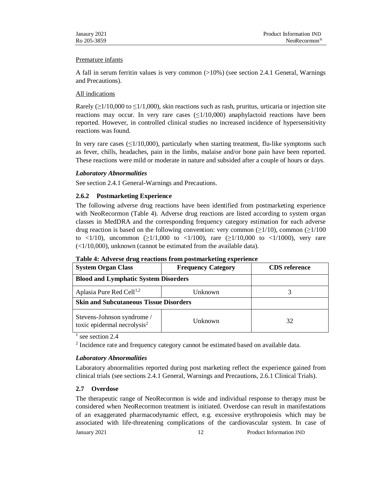#### Premature infants

A fall in serum ferritin values is very common  $(>10%)$  (see section 2.4.1 General, Warnings and Precautions).

## All indications

Rarely  $(\geq 1/10,000$  to  $\leq 1/1,000$ , skin reactions such as rash, pruritus, urticaria or injection site reactions may occur. In very rare cases  $(\leq 1/10,000)$  anaphylactoid reactions have been reported. However, in controlled clinical studies no increased incidence of hypersensitivity reactions was found.

In very rare cases  $(\leq 1/10,000)$ , particularly when starting treatment, flu-like symptoms such as fever, chills, headaches, pain in the limbs, malaise and/or bone pain have been reported. These reactions were mild or moderate in nature and subsided after a couple of hours or days.

## *Laboratory Abnormalities*

See section 2.4.1 General-Warnings and Precautions.

## **2.6.2 Postmarketing Experience**

The following adverse drug reactions have been identified from postmarketing experience with NeoRecormon (Table 4). Adverse drug reactions are listed according to system organ classes in MedDRA and the corresponding frequency category estimation for each adverse drug reaction is based on the following convention: very common  $(\geq 1/10)$ , common  $(\geq 1/100)$ to <1/10), uncommon ( $\geq 1/1,000$  to <1/100), rare ( $\geq 1/10,000$  to <1/1000), very rare  $\left( \frac{1}{10,000} \right)$ , unknown (cannot be estimated from the available data).

| <b>System Organ Class</b>                                             | <b>Frequency Category</b> | <b>CDS</b> reference |
|-----------------------------------------------------------------------|---------------------------|----------------------|
| <b>Blood and Lymphatic System Disorders</b>                           |                           |                      |
| Aplasia Pure Red Cell <sup>1,2</sup>                                  | Unknown                   |                      |
| <b>Skin and Subcutaneous Tissue Disorders</b>                         |                           |                      |
| Stevens-Johnson syndrome /<br>toxic epidermal necrolysis <sup>2</sup> | Unknown                   | 32                   |

|  |  | Table 4: Adverse drug reactions from postmarketing experience |  |
|--|--|---------------------------------------------------------------|--|
|  |  |                                                               |  |

 $<sup>1</sup>$  see section 2.4</sup>

 $2$  Incidence rate and frequency category cannot be estimated based on available data.

## *Laboratory Abnormalities*

Laboratory abnormalities reported during post marketing reflect the experience gained from clinical trials (see sections 2.4.1 General, Warnings and Precautions, 2.6.1 Clinical Trials).

## **2.7 Overdose**

January 2021 12 Product Information IND The therapeutic range of NeoRecormon is wide and individual response to therapy must be considered when NeoRecormon treatment is initiated. Overdose can result in manifestations of an exaggerated pharmacodynamic effect, e.g. excessive erythropoiesis which may be associated with life-threatening complications of the cardiovascular system. In case of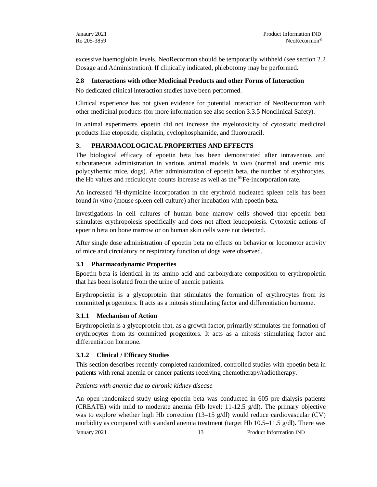excessive haemoglobin levels, NeoRecormon should be temporarily withheld (see section 2.2 Dosage and Administration). If clinically indicated, phlebotomy may be performed.

#### **2.8 Interactions with other Medicinal Products and other Forms of Interaction**

No dedicated clinical interaction studies have been performed.

Clinical experience has not given evidence for potential interaction of NeoRecormon with other medicinal products (for more information see also section 3.3.5 Nonclinical Safety).

In animal experiments epoetin did not increase the myelotoxicity of cytostatic medicinal products like etoposide, cisplatin, cyclophosphamide, and fluorouracil.

# **3. PHARMACOLOGICAL PROPERTIES AND EFFECTS**

The biological efficacy of epoetin beta has been demonstrated after intravenous and subcutaneous administration in various animal models *in vivo* (normal and uremic rats, polycythemic mice, dogs). After administration of epoetin beta, the number of erythrocytes, the Hb values and reticulocyte counts increase as well as the  ${}^{59}Fe$ -incorporation rate.

An increased <sup>3</sup>H-thymidine incorporation in the erythroid nucleated spleen cells has been found *in vitro* (mouse spleen cell culture) after incubation with epoetin beta.

Investigations in cell cultures of human bone marrow cells showed that epoetin beta stimulates erythropoiesis specifically and does not affect leucopoiesis. Cytotoxic actions of epoetin beta on bone marrow or on human skin cells were not detected.

After single dose administration of epoetin beta no effects on behavior or locomotor activity of mice and circulatory or respiratory function of dogs were observed.

## **3.1 Pharmacodynamic Properties**

Epoetin beta is identical in its amino acid and carbohydrate composition to erythropoietin that has been isolated from the urine of anemic patients.

Erythropoietin is a glycoprotein that stimulates the formation of erythrocytes from its committed progenitors. It acts as a mitosis stimulating factor and differentiation hormone.

## **3.1.1 Mechanism of Action**

Erythropoietin is a glycoprotein that, as a growth factor, primarily stimulates the formation of erythrocytes from its committed progenitors. It acts as a mitosis stimulating factor and differentiation hormone.

## **3.1.2 Clinical / Efficacy Studies**

This section describes recently completed randomized, controlled studies with epoetin beta in patients with renal anemia or cancer patients receiving chemotherapy/radiotherapy.

#### *Patients with anemia due to chronic kidney disease*

January 2021 13 Product Information IND An open randomized study using epoetin beta was conducted in 605 pre-dialysis patients (CREATE) with mild to moderate anemia (Hb level:  $11{\text -}12.5$  g/dl). The primary objective was to explore whether high Hb correction (13–15  $g/dl$ ) would reduce cardiovascular (CV) morbidity as compared with standard anemia treatment (target Hb 10.5–11.5 g/dl). There was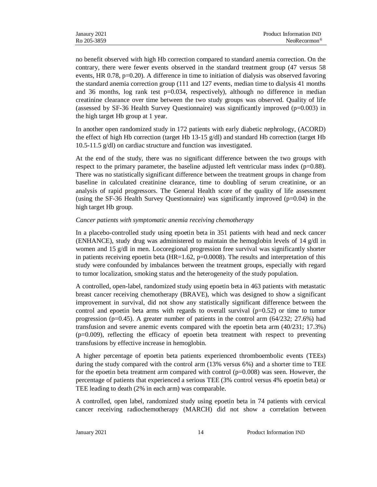no benefit observed with high Hb correction compared to standard anemia correction. On the contrary, there were fewer events observed in the standard treatment group (47 versus 58 events, HR 0.78, p=0.20). A difference in time to initiation of dialysis was observed favoring the standard anemia correction group (111 and 127 events, median time to dialysis 41 months and 36 months,  $log$  rank test  $p=0.034$ , respectively), although no difference in median creatinine clearance over time between the two study groups was observed. Quality of life (assessed by SF-36 Health Survey Questionnaire) was significantly improved (p=0.003) in the high target Hb group at 1 year.

In another open randomized study in 172 patients with early diabetic nephrology, (ACORD) the effect of high Hb correction (target Hb  $13-15$  g/dl) and standard Hb correction (target Hb 10.5-11.5 g/dl) on cardiac structure and function was investigated.

At the end of the study, there was no significant difference between the two groups with respect to the primary parameter, the baseline adjusted left ventricular mass index ( $p=0.88$ ). There was no statistically significant difference between the treatment groups in change from baseline in calculated creatinine clearance, time to doubling of serum creatinine, or an analysis of rapid progressors. The General Health score of the quality of life assessment (using the SF-36 Health Survey Questionnaire) was significantly improved  $(p=0.04)$  in the high target Hb group.

#### *Cancer patients with symptomatic anemia receiving chemotherapy*

In a placebo-controlled study using epoetin beta in 351 patients with head and neck cancer (ENHANCE), study drug was administered to maintain the hemoglobin levels of 14 g/dl in women and 15 g/dl in men. Locoregional progression free survival was significantly shorter in patients receiving epoetin beta (HR=1.62,  $p=0.0008$ ). The results and interpretation of this study were confounded by imbalances between the treatment groups, especially with regard to tumor localization, smoking status and the heterogeneity of the study population.

A controlled, open-label, randomized study using epoetin beta in 463 patients with metastatic breast cancer receiving chemotherapy (BRAVE), which was designed to show a significant improvement in survival, did not show any statistically significant difference between the control and epoetin beta arms with regards to overall survival  $(p=0.52)$  or time to tumor progression (p=0.45). A greater number of patients in the control arm  $(64/232; 27.6%)$  had transfusion and severe anemic events compared with the epoetin beta arm (40/231; 17.3%) (p=0.009), reflecting the efficacy of epoetin beta treatment with respect to preventing transfusions by effective increase in hemoglobin.

A higher percentage of epoetin beta patients experienced thromboembolic events (TEEs) during the study compared with the control arm (13% versus 6%) and a shorter time to TEE for the epoetin beta treatment arm compared with control (p=0.008) was seen. However, the percentage of patients that experienced a serious TEE (3% control versus 4% epoetin beta) or TEE leading to death (2% in each arm) was comparable.

A controlled, open label, randomized study using epoetin beta in 74 patients with cervical cancer receiving radiochemotherapy (MARCH) did not show a correlation between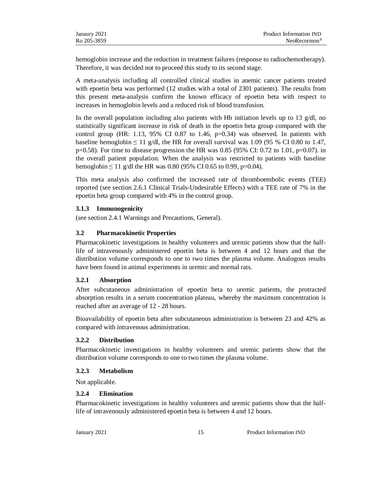| Janaury 2021 | Product Information IND   |
|--------------|---------------------------|
| Ro 205-3859  | $NeoRecormon^{\circledR}$ |

hemoglobin increase and the reduction in treatment failures (response to radiochemotherapy). Therefore, it was decided not to proceed this study to its second stage.

A meta-analysis including all controlled clinical studies in anemic cancer patients treated with epoetin beta was performed (12 studies with a total of 2301 patients). The results from this present meta-analysis confirm the known efficacy of epoetin beta with respect to increases in hemoglobin levels and a reduced risk of blood transfusion.

In the overall population including also patients with Hb initiation levels up to 13  $g/dl$ , no statistically significant increase in risk of death in the epoetin beta group compared with the control group (HR: 1.13, 95% CI 0.87 to 1.46,  $p=0.34$ ) was observed. In patients with baseline hemoglobin  $\leq 11$  g/dl, the HR for overall survival was 1.09 (95 % CI 0.80 to 1.47, p=0.58). For time to disease progression the HR was 0.85 (95% CI: 0.72 to 1.01, p=0.07). in the overall patient population. When the analysis was restricted to patients with baseline hemoglobin  $\leq 11$  g/dl the HR was 0.80 (95% CI 0.65 to 0.99, p=0.04).

This meta analysis also confirmed the increased rate of thromboembolic events (TEE) reported (see section 2.6.1 Clinical Trials-Undesirable Effects) with a TEE rate of 7% in the epoetin beta group compared with 4% in the control group.

#### **3.1.3 Immunogenicity**

(see section 2.4.1 Warnings and Precautions, General).

## **3.2 Pharmacokinetic Properties**

Pharmacokinetic investigations in healthy volunteers and uremic patients show that the halflife of intravenously administered epoetin beta is between 4 and 12 hours and that the distribution volume corresponds to one to two times the plasma volume. Analogous results have been found in animal experiments in uremic and normal rats.

#### **3.2.1 Absorption**

After subcutaneous administration of epoetin beta to uremic patients, the protracted absorption results in a serum concentration plateau, whereby the maximum concentration is reached after an average of 12 - 28 hours.

Bioavailability of epoetin beta after subcutaneous administration is between 23 and 42% as compared with intravenous administration.

#### **3.2.2 Distribution**

Pharmacokinetic investigations in healthy volunteers and uremic patients show that the distribution volume corresponds to one to two times the plasma volume.

#### **3.2.3 Metabolism**

Not applicable.

#### **3.2.4 Elimination**

Pharmacokinetic investigations in healthy volunteers and uremic patients show that the halflife of intravenously administered epoetin beta is between 4 and 12 hours.

January 2021 15 Product Information IND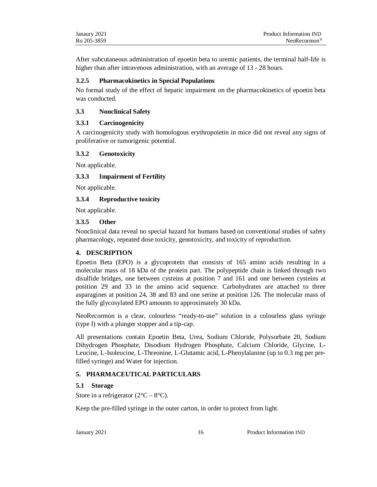| Janaury 2021 | Product Information IND   |
|--------------|---------------------------|
| Ro 205-3859  | $NeoRecormon^{\circledR}$ |

After subcutaneous administration of epoetin beta to uremic patients, the terminal half-life is higher than after intravenous administration, with an average of 13 - 28 hours.

#### **3.2.5 Pharmacokinetics in Special Populations**

No formal study of the effect of hepatic impairment on the pharmacokinetics of epoetin beta was conducted.

#### **3.3 Nonclinical Safety**

#### **3.3.1 Carcinogenicity**

A carcinogenicity study with homologous erythropoietin in mice did not reveal any signs of proliferative or tumorigenic potential.

#### **3.3.2 Genotoxicity**

Not applicable.

## **3.3.3 Impairment of Fertility**

Not applicable.

## **3.3.4 Reproductive toxicity**

Not applicable.

#### **3.3.5 Other**

Nonclinical data reveal no special hazard for humans based on conventional studies of safety pharmacology, repeated dose toxicity, genotoxicity, and toxicity of reproduction.

## **4. DESCRIPTION**

Epoetin Beta (EPO) is a glycoprotein that consists of 165 amino acids resulting in a molecular mass of 18 kDa of the protein part. The polypeptide chain is linked through two disulfide bridges, one between cysteins at position 7 and 161 and one between cysteins at position 29 and 33 in the amino acid sequence. Carbohydrates are attached to three asparagines at position 24, 38 and 83 and one serine at position 126. The molecular mass of the fully glycosylated EPO amounts to approximately 30 kDa.

NeoRecormon is a clear, colourless "ready-to-use" solution in a colourless glass syringe (type I) with a plunger stopper and a tip-cap.

All presentations contain Epoetin Beta, Urea, Sodium Chloride, Polysorbate 20, Sodium Dihydrogen Phosphate, Disodium Hydrogen Phosphate, Calcium Chloride, Glycine, L-Leucine, L-Isoleucine, L-Threonine, L-Glutamic acid, L-Phenylalanine (up to 0.3 mg per prefilled syringe) and Water for injection.

## **5. PHARMACEUTICAL PARTICULARS**

## **5.1 Storage**

Store in a refrigerator  $(2^{\circ}C - 8^{\circ}C)$ .

Keep the pre-filled syringe in the outer carton, in order to protect from light.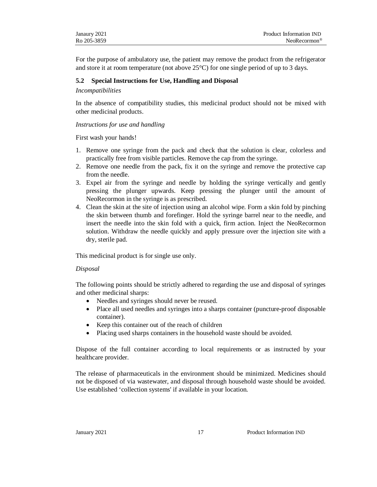For the purpose of ambulatory use, the patient may remove the product from the refrigerator and store it at room temperature (not above 25°C) for one single period of up to 3 days.

#### **5.2 Special Instructions for Use, Handling and Disposal**

#### *Incompatibilities*

In the absence of compatibility studies, this medicinal product should not be mixed with other medicinal products.

#### *Instructions for use and handling*

First wash your hands!

- 1. Remove one syringe from the pack and check that the solution is clear, colorless and practically free from visible particles. Remove the cap from the syringe.
- 2. Remove one needle from the pack, fix it on the syringe and remove the protective cap from the needle.
- 3. Expel air from the syringe and needle by holding the syringe vertically and gently pressing the plunger upwards. Keep pressing the plunger until the amount of NeoRecormon in the syringe is as prescribed.
- 4. Clean the skin at the site of injection using an alcohol wipe. Form a skin fold by pinching the skin between thumb and forefinger. Hold the syringe barrel near to the needle, and insert the needle into the skin fold with a quick, firm action. Inject the NeoRecormon solution. Withdraw the needle quickly and apply pressure over the injection site with a dry, sterile pad.

This medicinal product is for single use only.

#### *Disposal*

The following points should be strictly adhered to regarding the use and disposal of syringes and other medicinal sharps:

- Needles and syringes should never be reused.
- Place all used needles and syringes into a sharps container (puncture-proof disposable container).
- Keep this container out of the reach of children
- Placing used sharps containers in the household waste should be avoided.

Dispose of the full container according to local requirements or as instructed by your healthcare provider.

The release of pharmaceuticals in the environment should be minimized. Medicines should not be disposed of via wastewater, and disposal through household waste should be avoided. Use established 'collection systems' if available in your location.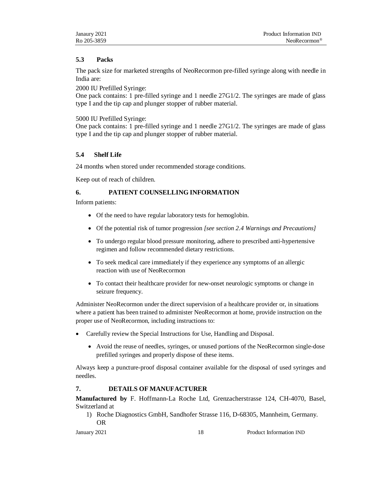## **5.3 Packs**

The pack size for marketed strengths of NeoRecormon pre-filled syringe along with needle in India are:

2000 IU Prefilled Syringe:

One pack contains: 1 pre-filled syringe and 1 needle 27G1/2. The syringes are made of glass type I and the tip cap and plunger stopper of rubber material.

5000 IU Prefilled Syringe:

One pack contains: 1 pre-filled syringe and 1 needle 27G1/2. The syringes are made of glass type I and the tip cap and plunger stopper of rubber material.

# **5.4 Shelf Life**

24 months when stored under recommended storage conditions.

Keep out of reach of children.

# **6. PATIENT COUNSELLING INFORMATION**

Inform patients:

- Of the need to have regular laboratory tests for hemoglobin.
- Of the potential risk of tumor progression *[see section 2.4 Warnings and Precautions]*
- To undergo regular blood pressure monitoring, adhere to prescribed anti-hypertensive regimen and follow recommended dietary restrictions.
- To seek medical care immediately if they experience any symptoms of an allergic reaction with use of NeoRecormon
- To contact their healthcare provider for new-onset neurologic symptoms or change in seizure frequency.

Administer NeoRecormon under the direct supervision of a healthcare provider or, in situations where a patient has been trained to administer NeoRecormon at home, provide instruction on the proper use of NeoRecormon, including instructions to:

- Carefully review the Special Instructions for Use, Handling and Disposal.
	- Avoid the reuse of needles, syringes, or unused portions of the NeoRecormon single-dose prefilled syringes and properly dispose of these items.

Always keep a puncture-proof disposal container available for the disposal of used syringes and needles.

# **7. DETAILS OF MANUFACTURER**

**Manufactured by** F. Hoffmann-La Roche Ltd, Grenzacherstrasse 124, CH-4070, Basel, Switzerland at

1) Roche Diagnostics GmbH, Sandhofer Strasse 116, D-68305, Mannheim, Germany. OR

January 2021 18 Product Information IND